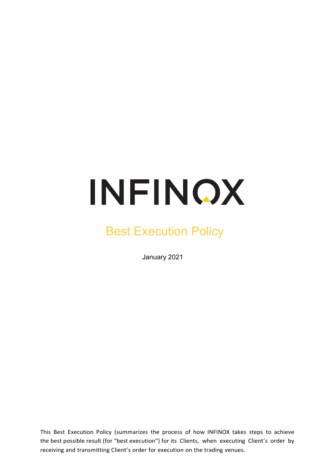# INFINOX

# Best Execution Policy

January 2021

This Best Execution Policy (summarizes the process of how INFINOX takes steps to achieve the best possible result (for "best execution") for its Clients, when executing Client's order by receiving and transmitting Client's order for execution on the trading venues.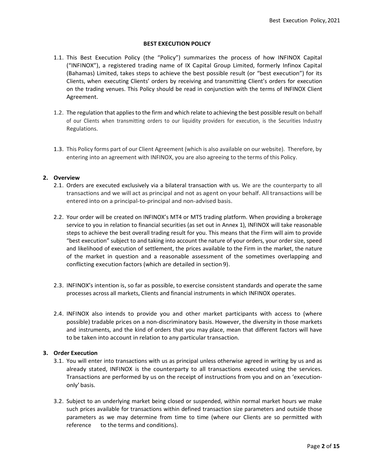#### **BEST EXECUTION POLICY**

- 1.1. This Best Execution Policy (the "Policy") summarizes the process of how INFINOX Capital ("INFINOX"), a registered trading name of IX Capital Group Limited, formerly Infinox Capital (Bahamas) Limited, takes steps to achieve the best possible result (or "best execution") for its Clients, when executing Clients' orders by receiving and transmitting Client's orders for execution on the trading venues. This Policy should be read in conjunction with the terms of INFINOX Client Agreement.
- 1.2. The regulation that appliesto the firm and which relate to achieving the best possible result on behalf of our Clients when transmitting orders to our liquidity providers for execution, is the Securities Industry Regulations.
- 1.3. This Policy forms part of our Client Agreement (which is also available on our website). Therefore, by entering into an agreement with INFINOX, you are also agreeing to the terms of this Policy.

# **2. Overview**

- 2.1. Orders are executed exclusively via a bilateral transaction with us. We are the counterparty to all transactions and we will act as principal and not as agent on your behalf. All transactions will be entered into on a principal-to-principal and non-advised basis.
- 2.2. Your order will be created on INFINOX's MT4 or MT5 trading platform. When providing a brokerage service to you in relation to financial securities (as set out in Annex 1), INFINOX will take reasonable steps to achieve the best overall trading result for you. This means that the Firm will aim to provide "best execution" subject to and taking into account the nature of your orders, your order size, speed and likelihood of execution of settlement, the prices available to the Firm in the market, the nature of the market in question and a reasonable assessment of the sometimes overlapping and conflicting execution factors (which are detailed in section 9).
- 2.3. INFINOX's intention is, so far as possible, to exercise consistent standards and operate the same processes across all markets, Clients and financial instruments in which INFINOX operates.
- 2.4. INFINOX also intends to provide you and other market participants with access to (where possible) tradable prices on a non-discriminatory basis. However, the diversity in those markets and instruments, and the kind of orders that you may place, mean that different factors will have to be taken into account in relation to any particular transaction.

#### **3. Order Execution**

- 3.1. You will enter into transactions with us as principal unless otherwise agreed in writing by us and as already stated, INFINOX is the counterparty to all transactions executed using the services. Transactions are performed by us on the receipt of instructions from you and on an 'executiononly' basis.
- 3.2. Subject to an underlying market being closed or suspended, within normal market hours we make such prices available for transactions within defined transaction size parameters and outside those parameters as we may determine from time to time (where our Clients are so permitted with reference to the terms and conditions).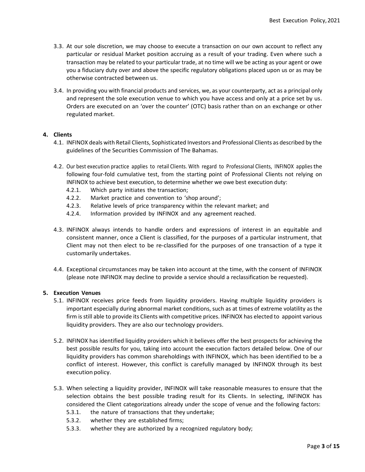- 3.3. At our sole discretion, we may choose to execute a transaction on our own account to reflect any particular or residual Market position accruing as a result of your trading. Even where such a transaction may be related to your particular trade, at no time will we be acting as your agent or owe you a fiduciary duty over and above the specific regulatory obligations placed upon us or as may be otherwise contracted between us.
- 3.4. In providing you with financial products and services, we, as your counterparty, act as a principal only and represent the sole execution venue to which you have access and only at a price set by us. Orders are executed on an 'over the counter' (OTC) basis rather than on an exchange or other regulated market.

#### **4. Clients**

- 4.1. INFINOX deals with Retail Clients, Sophisticated Investors and Professional Clients as described by the guidelines of the Securities Commission of The Bahamas.
- 4.2. Our best execution practice applies to retail Clients. With regard to Professional Clients, INFINOX applies the following four-fold cumulative test, from the starting point of Professional Clients not relying on INFINOX to achieve best execution, to determine whether we owe best execution duty:
	- 4.2.1. Which party initiates the transaction;
	- 4.2.2. Market practice and convention to 'shop around';
	- 4.2.3. Relative levels of price transparency within the relevant market; and
	- 4.2.4. Information provided by INFINOX and any agreement reached.
- 4.3. INFINOX always intends to handle orders and expressions of interest in an equitable and consistent manner, once a Client is classified, for the purposes of a particular instrument, that Client may not then elect to be re-classified for the purposes of one transaction of a type it customarily undertakes.
- 4.4. Exceptional circumstances may be taken into account at the time, with the consent of INFINOX (please note INFINOX may decline to provide a service should a reclassification be requested).

#### **5. Execution Venues**

- 5.1. INFINOX receives price feeds from liquidity providers. Having multiple liquidity providers is important especially during abnormal market conditions, such as at times of extreme volatility as the firm is still able to provide its Clients with competitive prices. INFINOX has elected to appoint various liquidity providers. They are also our technology providers.
- 5.2. INFINOX has identified liquidity providers which it believes offer the best prospects for achieving the best possible results for you, taking into account the execution factors detailed below. One of our liquidity providers has common shareholdings with INFINOX, which has been identified to be a conflict of interest. However, this conflict is carefully managed by INFINOX through its best execution policy.
- 5.3. When selecting a liquidity provider, INFINOX will take reasonable measures to ensure that the selection obtains the best possible trading result for its Clients. In selecting, INFINOX has considered the Client categorizations already under the scope of venue and the following factors:
	- 5.3.1. the nature of transactions that they undertake;
	- 5.3.2. whether they are established firms;
	- 5.3.3. whether they are authorized by a recognized regulatory body;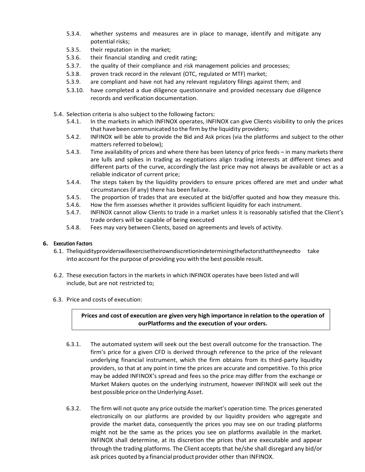- 5.3.4. whether systems and measures are in place to manage, identify and mitigate any potential risks;
- 5.3.5. their reputation in the market;
- 5.3.6. their financial standing and credit rating;
- 5.3.7. the quality of their compliance and risk management policies and processes;
- 5.3.8. proven track record in the relevant (OTC, regulated or MTF) market;
- 5.3.9. are compliant and have not had any relevant regulatory filings against them; and
- 5.3.10. have completed a due diligence questionnaire and provided necessary due diligence records and verification documentation.
- 5.4. Selection criteria is also subject to the following factors:
	- 5.4.1. In the markets in which INFINOX operates, INFINOX can give Clients visibility to only the prices that have been communicated to the firm by the liquidity providers;
	- 5.4.2. INFINOX will be able to provide the Bid and Ask prices (via the platforms and subject to the other matters referred tobelow);
	- 5.4.3. Time availability of prices and where there has been latency of price feeds in many markets there are lulls and spikes in trading as negotiations align trading interests at different times and different parts of the curve, accordingly the last price may not always be available or act as a reliable indicator of current price;
	- 5.4.4. The steps taken by the liquidity providers to ensure prices offered are met and under what circumstances (if any) there has been failure.
	- 5.4.5. The proportion of trades that are executed at the bid/offer quoted and how they measure this.
	- 5.4.6. How the firm assesses whether it provides sufficient liquidity for each instrument.
	- 5.4.7. INFINOX cannot allow Clients to trade in a market unless it is reasonably satisfied that the Client's trade orders will be capable of being executed
	- 5.4.8. Fees may vary between Clients, based on agreements and levels of activity.

# **6. Execution Factors**

- 6.1. Theliquidityproviderswillexercisetheirowndiscretionindeterminingthefactorsthattheyneedto take into account for the purpose of providing you with the best possible result.
- 6.2. These execution factors in the markets in which INFINOX operates have been listed and will include, but are not restricted to;
- 6.3. Price and costs of execution:

**Prices and cost of execution are given very high importance in relation to the operation of ourPlatforms and the execution of your orders.**

- 6.3.1. The automated system will seek out the best overall outcome for the transaction. The firm's price for a given CFD is derived through reference to the price of the relevant underlying financial instrument, which the firm obtains from its third-party liquidity providers, so that at any point in time the prices are accurate and competitive. To this price may be added INFINOX's spread and fees so the price may differ from the exchange or Market Makers quotes on the underlying instrument, however INFINOX will seek out the best possible price on the Underlying Asset.
- 6.3.2. The firm will not quote any price outside the market's operation time. The prices generated electronically on our platforms are provided by our liquidity providers who aggregate and provide the market data, consequently the prices you may see on our trading platforms might not be the same as the prices you see on platforms available in the market. INFINOX shall determine, at its discretion the prices that are executable and appear through the trading platforms. The Client accepts that he/she shall disregard any bid/or ask prices quoted by a financial product provider other than INFINOX.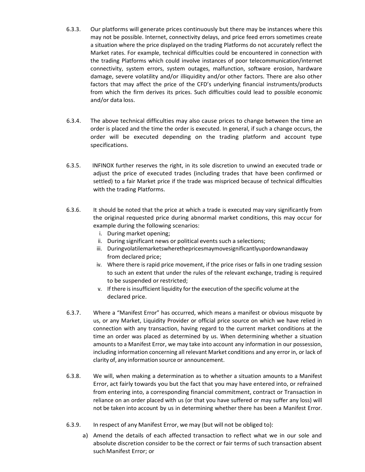- 6.3.3. Our platforms will generate prices continuously but there may be instances where this may not be possible. Internet, connectivity delays, and price feed errors sometimes create a situation where the price displayed on the trading Platforms do not accurately reflect the Market rates. For example, technical difficulties could be encountered in connection with the trading Platforms which could involve instances of poor telecommunication/internet connectivity, system errors, system outages, malfunction, software erosion, hardware damage, severe volatility and/or illiquidity and/or other factors. There are also other factors that may affect the price of the CFD's underlying financial instruments/products from which the firm derives its prices. Such difficulties could lead to possible economic and/or data loss.
- 6.3.4. The above technical difficulties may also cause prices to change between the time an order is placed and the time the order is executed. In general, if such a change occurs, the order will be executed depending on the trading platform and account type specifications.
- 6.3.5. INFINOX further reserves the right, in its sole discretion to unwind an executed trade or adjust the price of executed trades (including trades that have been confirmed or settled) to a fair Market price if the trade was mispriced because of technical difficulties with the trading Platforms.
- 6.3.6. It should be noted that the price at which a trade is executed may vary significantly from the original requested price during abnormal market conditions, this may occur for example during the following scenarios:
	- i. During market opening;
	- ii. During significant news or political events such a selections;
	- iii. Duringvolatilemarketswherethepricesmaymovesignificantlyupordownandaway from declared price;
	- iv. Where there is rapid price movement, if the price rises or falls in one trading session to such an extent that under the rules of the relevant exchange, trading is required to be suspended or restricted;
	- v. If there is insufficient liquidity forthe execution of the specific volume at the declared price.
- 6.3.7. Where a "Manifest Error" has occurred, which means a manifest or obvious misquote by us, or any Market, Liquidity Provider or official price source on which we have relied in connection with any transaction, having regard to the current market conditions at the time an order was placed as determined by us. When determining whether a situation amounts to a Manifest Error, we may take into account any information in our possession, including information concerning all relevant Market conditions and any error in, or lack of clarity of, any information source or announcement.
- 6.3.8. We will, when making a determination as to whether a situation amounts to a Manifest Error, act fairly towards you but the fact that you may have entered into, or refrained from entering into, a corresponding financial commitment, contract or Transaction in reliance on an order placed with us (or that you have suffered or may suffer any loss) will not be taken into account by us in determining whether there has been a Manifest Error.
- 6.3.9. In respect of any Manifest Error, we may (but will not be obliged to):
	- a) Amend the details of each affected transaction to reflect what we in our sole and absolute discretion consider to be the correct or fair terms of such transaction absent such Manifest Error; or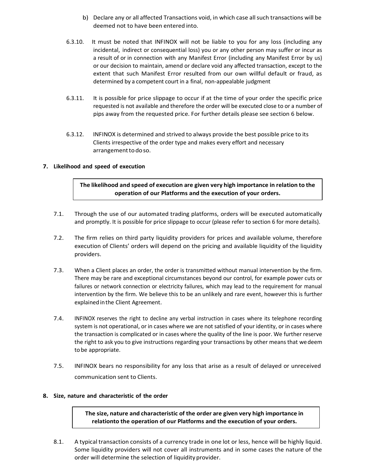- b) Declare any or all affected Transactions void, in which case all such transactions will be deemed not to have been entered into.
- 6.3.10. It must be noted that INFINOX will not be liable to you for any loss (including any incidental, indirect or consequential loss) you or any other person may suffer or incur as a result of or in connection with any Manifest Error (including any Manifest Error by us) or our decision to maintain, amend or declare void any affected transaction, except to the extent that such Manifest Error resulted from our own willful default or fraud, as determined by a competent court in a final, non-appealable judgment
- 6.3.11. It is possible for price slippage to occur if at the time of your order the specific price requested is not available and therefore the order will be executed close to or a number of pips away from the requested price. For further details please see section 6 below.
- 6.3.12. INFINOX is determined and strived to always provide the best possible price to its Clients irrespective of the order type and makes every effort and necessary arrangementtodoso.

# **7. Likelihood and speed of execution**

# **The likelihood and speed of execution are given very high importance in relation to the operation of our Platforms and the execution of your orders.**

- 7.1. Through the use of our automated trading platforms, orders will be executed automatically and promptly. It is possible for price slippage to occur (please refer to section 6 for more details).
- 7.2. The firm relies on third party liquidity providers for prices and available volume, therefore execution of Clients' orders will depend on the pricing and available liquidity of the liquidity providers.
- 7.3. When a Client places an order, the order is transmitted without manual intervention by the firm. There may be rare and exceptional circumstances beyond our control, for example power cuts or failures or network connection or electricity failures, which may lead to the requirement for manual intervention by the firm. We believe this to be an unlikely and rare event, however this is further explained inthe Client Agreement.
- 7.4. INFINOX reserves the right to decline any verbal instruction in cases where its telephone recording system is not operational, or in cases where we are not satisfied of your identity, or in cases where the transaction is complicated or in cases where the quality of the line is poor. We further reserve the right to ask you to give instructions regarding your transactions by other means that wedeem to be appropriate.
- 7.5. INFINOX bears no responsibility for any loss that arise as a result of delayed or unreceived communication sent to Clients.

#### **8. Size, nature and characteristic of the order**

**The size, nature and characteristic of the order are given very high importance in relationto the operation of our Platforms and the execution of your orders.**

8.1. A typical transaction consists of a currency trade in one lot or less, hence will be highly liquid. Some liquidity providers will not cover all instruments and in some cases the nature of the order will determine the selection of liquidity provider.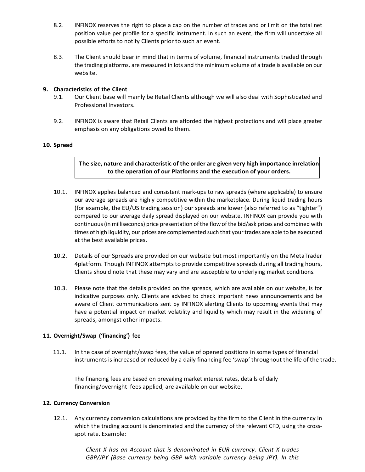- 8.2. INFINOX reserves the right to place a cap on the number of trades and or limit on the total net position value per profile for a specific instrument. In such an event, the firm will undertake all possible efforts to notify Clients prior to such anevent.
- 8.3. The Client should bear in mind that in terms of volume, financial instruments traded through the trading platforms, are measured in lots and the minimum volume of a trade is available on our website.

# **9. Characteristics of the Client**

- 9.1. Our Client base will mainly be Retail Clients although we will also deal with Sophisticated and Professional Investors.
- 9.2. INFINOX is aware that Retail Clients are afforded the highest protections and will place greater emphasis on any obligations owed to them.

# **10. Spread**

**The size, nature and characteristic of the order are given very high importance inrelation to the operation of our Platforms and the execution of your orders.**

- 10.1. INFINOX applies balanced and consistent mark-ups to raw spreads (where applicable) to ensure our average spreads are highly competitive within the marketplace. During liquid trading hours (for example, the EU/US trading session) our spreads are lower (also referred to as "tighter") compared to our average daily spread displayed on our website. INFINOX can provide you with continuous (in milliseconds) price presentation of the flow of the bid/ask prices and combined with times of high liquidity, our prices are complemented such that your trades are able to be executed at the best available prices.
- 10.2. Details of our Spreads are provided on our website but most importantly on the MetaTrader 4platform. Though INFINOX attempts to provide competitive spreads during all trading hours, Clients should note that these may vary and are susceptible to underlying market conditions.
- 10.3. Please note that the details provided on the spreads, which are available on our website, is for indicative purposes only. Clients are advised to check important news announcements and be aware of Client communications sent by INFINOX alerting Clients to upcoming events that may have a potential impact on market volatility and liquidity which may result in the widening of spreads, amongst other impacts.

#### **11. Overnight/Swap ('financing') fee**

11.1. In the case of overnight/swap fees, the value of opened positions in some types of financial instruments is increased or reduced by a daily financing fee 'swap' throughout the life of the trade.

The financing fees are based on prevailing market interest rates, details of daily financing/overnight fees applied, are available on our website.

# **12. Currency Conversion**

12.1. Any currency conversion calculations are provided by the firm to the Client in the currency in which the trading account is denominated and the currency of the relevant CFD, using the crossspot rate. Example:

> *Client X has an Account that is denominated in EUR currency. Client X trades GBP/JPY (Base currency being GBP with variable currency being JPY). In this*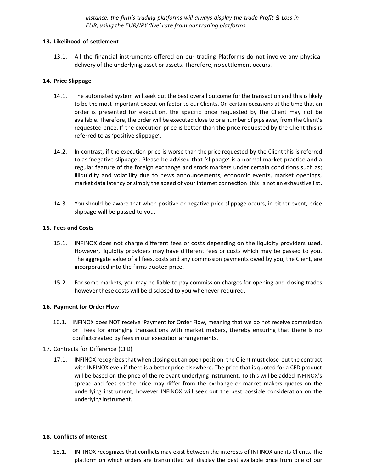*instance, the firm's trading platforms will always display the trade Profit & Loss in EUR, using the EUR/JPY 'live'rate from our trading platforms.*

#### **13. Likelihood of settlement**

13.1. All the financial instruments offered on our trading Platforms do not involve any physical delivery of the underlying asset or assets. Therefore, no settlement occurs.

#### **14. Price Slippage**

- 14.1. The automated system will seek out the best overall outcome for the transaction and this is likely to be the most important execution factor to our Clients. On certain occasions at the time that an order is presented for execution, the specific price requested by the Client may not be available. Therefore, the order will be executed close to or a number of pips away from the Client's requested price. If the execution price is better than the price requested by the Client this is referred to as 'positive slippage'.
- 14.2. In contrast, if the execution price is worse than the price requested by the Client this is referred to as 'negative slippage'. Please be advised that 'slippage' is a normal market practice and a regular feature of the foreign exchange and stock markets under certain conditions such as; illiquidity and volatility due to news announcements, economic events, market openings, market data latency or simply the speed of your internet connection this is not an exhaustive list.
- 14.3. You should be aware that when positive or negative price slippage occurs, in either event, price slippage will be passed to you.

#### **15. Fees and Costs**

- 15.1. INFINOX does not charge different fees or costs depending on the liquidity providers used. However, liquidity providers may have different fees or costs which may be passed to you. The aggregate value of all fees, costs and any commission payments owed by you, the Client, are incorporated into the firms quoted price.
- 15.2. For some markets, you may be liable to pay commission charges for opening and closing trades however these costs will be disclosed to you whenever required.

#### **16. Payment for Order Flow**

- 16.1. INFINOX does NOT receive 'Payment for Order Flow, meaning that we do not receive commission or fees for arranging transactions with market makers, thereby ensuring that there is no conflictcreated by fees in our execution arrangements.
- 17. Contracts for Difference (CFD)
	- 17.1. INFINOX recognizesthat when closing out an open position, the Client must close out the contract with INFINOX even if there is a better price elsewhere. The price that is quoted for a CFD product will be based on the price of the relevant underlying instrument. To this will be added INFINOX's spread and fees so the price may differ from the exchange or market makers quotes on the underlying instrument, however INFINOX will seek out the best possible consideration on the underlying instrument.

#### **18. Conflicts of Interest**

18.1. INFINOX recognizes that conflicts may exist between the interests of INFINOX and its Clients. The platform on which orders are transmitted will display the best available price from one of our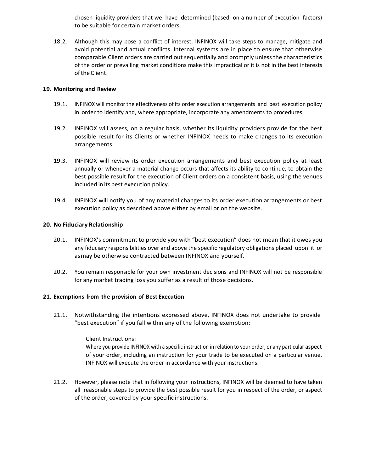chosen liquidity providers that we have determined (based on a number of execution factors) to be suitable for certain market orders.

18.2. Although this may pose a conflict of interest, INFINOX will take steps to manage, mitigate and avoid potential and actual conflicts. Internal systems are in place to ensure that otherwise comparable Client orders are carried out sequentially and promptly unless the characteristics of the order or prevailing market conditions make this impractical or it is not in the best interests ofthe Client.

# **19. Monitoring and Review**

- 19.1. INFINOX will monitor the effectiveness of its order execution arrangements and best execution policy in order to identify and, where appropriate, incorporate any amendments to procedures.
- 19.2. INFINOX will assess, on a regular basis, whether its liquidity providers provide for the best possible result for its Clients or whether INFINOX needs to make changes to its execution arrangements.
- 19.3. INFINOX will review its order execution arrangements and best execution policy at least annually or whenever a material change occurs that affects its ability to continue, to obtain the best possible result for the execution of Client orders on a consistent basis, using the venues included in its best execution policy.
- 19.4. INFINOX will notify you of any material changes to its order execution arrangements or best execution policy as described above either by email or on the website.

# **20. No Fiduciary Relationship**

- 20.1. INFINOX's commitment to provide you with "best execution" does not mean that it owes you any fiduciary responsibilities over and above the specific regulatory obligations placed upon it or asmay be otherwise contracted between INFINOX and yourself.
- 20.2. You remain responsible for your own investment decisions and INFINOX will not be responsible for any market trading loss you suffer as a result of those decisions.

# **21. Exemptions from the provision of Best Execution**

21.1. Notwithstanding the intentions expressed above, INFINOX does not undertake to provide "best execution" if you fall within any of the following exemption:

> Client Instructions: Where you provide INFINOX with a specific instruction in relation to your order, or any particular aspect of your order, including an instruction for your trade to be executed on a particular venue, INFINOX will execute the order in accordance with your instructions.

21.2. However, please note that in following your instructions, INFINOX will be deemed to have taken all reasonable steps to provide the best possible result for you in respect of the order, or aspect of the order, covered by your specific instructions.